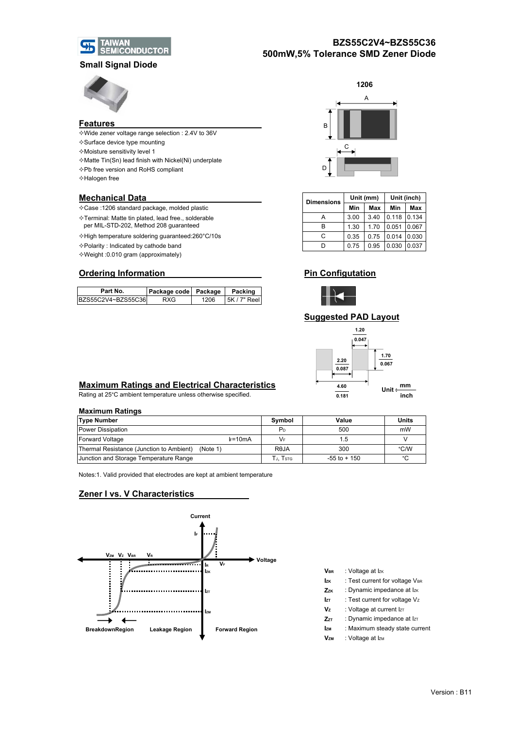

## **BZS55C2V4~BZS55C36 500mW,5% Tolerance SMD Zener Diode**

## **Small Signal Diode**



#### **Features**

- Wide zener voltage range selection : 2.4V to 36V
- $\diamond$  Surface device type mounting
- $\diamond$  Moisture sensitivity level 1
- $\Diamond$  Matte Tin(Sn) lead finish with Nickel(Ni) underplate
- Pb free version and RoHS compliant
- Halogen free

### **Mechanical Data**

- Case :1206 standard package, molded plastic **Min Max Min Max**
- $\Diamond$ Terminal: Matte tin plated, lead free., solderable
- per MIL-STD-202, Method 208 guaranteed
- $\leftrightarrow$ High temperature soldering guaranteed:260°C/10s
- $\Diamond$  Polarity : Indicated by cathode band
- Weight :0.010 gram (approximately)

## **Ordering Information**

| Part No.            | Package code Package |      | Packing      |  |
|---------------------|----------------------|------|--------------|--|
| BZS55C2V4~BZS55C36L | RXG                  | 1206 | 5K / 7" Reel |  |



| <b>Dimensions</b> |      | Unit (mm) | Unit (inch) |       |  |
|-------------------|------|-----------|-------------|-------|--|
|                   | Min  | Max       | Min         | Max   |  |
|                   | 3.00 | 3.40      | 0.118       | 0.134 |  |
| R                 | 1.30 | 1.70      | 0.051       | 0.067 |  |
| C.                | 0.35 | 0.75      | 0.014       | 0.030 |  |
|                   | 0.75 | 0.95      | 0.030       | 0.037 |  |

## **Pin Configutation**



## **Suggested PAD Layout**



## **Maximum Ratings and Electrical Characteristics**

Rating at 25°C ambient temperature unless otherwise specified.

#### **Maximum Ratings**

| <b>Type Number</b>                                   | Symbol            | Value        | <b>Units</b> |  |  |  |  |  |
|------------------------------------------------------|-------------------|--------------|--------------|--|--|--|--|--|
| Power Dissipation                                    | P <sub>D</sub>    | 500          | mW           |  |  |  |  |  |
| $k = 10mA$<br>Forward Voltage                        | VF                | l.b          |              |  |  |  |  |  |
| Thermal Resistance (Junction to Ambient)<br>(Note 1) | R <sub>e</sub> JA | 300          | °C/W         |  |  |  |  |  |
| Junction and Storage Temperature Range               | Tj. Tstg          | -55 to + 150 | °C           |  |  |  |  |  |

Notes:1. Valid provided that electrodes are kept at ambient temperature

## **Zener I vs. V Characteristics**



- **VBR** : Voltage at Izk
- **Izk** : Test current for voltage VBR
- **Zz<sub>K</sub>** : Dynamic impedance at Iz<sub>K</sub>
- **Iz<sub>T</sub>** : Test current for voltage Vz
- **Vz** : Voltage at current  $Iz$
- **ZzT** : Dynamic impedance at IzT
- **Izm** : Maximum steady state current
- **V<sub>ZM</sub>** : Voltage at I<sub>ZM</sub>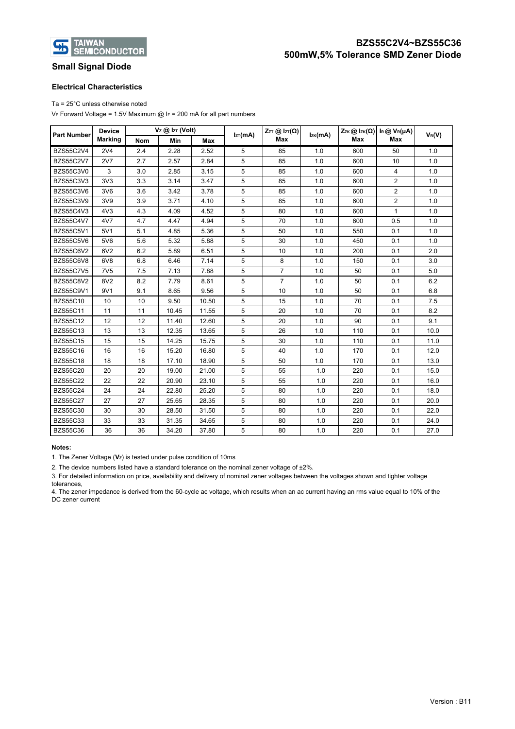

## **Small Signal Diode**

### **Electrical Characteristics**

Ta = 25°C unless otherwise noted

VF Forward Voltage = 1.5V Maximum @ IF = 200 mA for all part numbers

| <b>Part Number</b> | <b>Device</b><br><b>Marking</b> | $V_z$ @ $Iz$ (Volt) |       | $Iz\tau(mA)$ | $Z_{ZT}$ @ $I_{ZT}(\Omega)$ | Izĸ(mA)        | $ZzK \textcircled{a}$ $IzK(\Omega)$ | $\mathsf{I}\scriptscriptstyle{\mathsf{R}}\, \textcircled{\mathsf{R}}\, \mathsf{V}\scriptscriptstyle{\mathsf{R}}\, \textsf{(}\mu\mathsf{A})$ | $V_R(V)$       |      |
|--------------------|---------------------------------|---------------------|-------|--------------|-----------------------------|----------------|-------------------------------------|---------------------------------------------------------------------------------------------------------------------------------------------|----------------|------|
|                    |                                 | <b>Nom</b>          | Min   | Max          |                             | Max            |                                     | Max                                                                                                                                         | Max            |      |
| <b>BZS55C2V4</b>   | 2V <sub>4</sub>                 | 2.4                 | 2.28  | 2.52         | 5                           | 85             | 1.0                                 | 600                                                                                                                                         | 50             | 1.0  |
| <b>BZS55C2V7</b>   | <b>2V7</b>                      | 2.7                 | 2.57  | 2.84         | 5                           | 85             | 1.0                                 | 600                                                                                                                                         | 10             | 1.0  |
| <b>BZS55C3V0</b>   | 3                               | 3.0                 | 2.85  | 3.15         | 5                           | 85             | 1.0                                 | 600                                                                                                                                         | 4              | 1.0  |
| BZS55C3V3          | 3V <sub>3</sub>                 | 3.3                 | 3.14  | 3.47         | 5                           | 85             | 1.0                                 | 600                                                                                                                                         | $\overline{2}$ | 1.0  |
| <b>BZS55C3V6</b>   | 3V6                             | 3.6                 | 3.42  | 3.78         | 5                           | 85             | 1.0                                 | 600                                                                                                                                         | $\overline{2}$ | 1.0  |
| BZS55C3V9          | 3V9                             | 3.9                 | 3.71  | 4.10         | 5                           | 85             | 1.0                                 | 600                                                                                                                                         | $\overline{2}$ | 1.0  |
| <b>BZS55C4V3</b>   | 4V <sub>3</sub>                 | 4.3                 | 4.09  | 4.52         | 5                           | 80             | 1.0                                 | 600                                                                                                                                         | $\mathbf{1}$   | 1.0  |
| <b>BZS55C4V7</b>   | 4V7                             | 4.7                 | 4.47  | 4.94         | 5                           | 70             | 1.0                                 | 600                                                                                                                                         | 0.5            | 1.0  |
| <b>BZS55C5V1</b>   | 5V1                             | 5.1                 | 4.85  | 5.36         | 5                           | 50             | 1.0                                 | 550                                                                                                                                         | 0.1            | 1.0  |
| <b>BZS55C5V6</b>   | 5V6                             | 5.6                 | 5.32  | 5.88         | 5                           | 30             | 1.0                                 | 450                                                                                                                                         | 0.1            | 1.0  |
| <b>BZS55C6V2</b>   | 6V2                             | 6.2                 | 5.89  | 6.51         | 5                           | 10             | 1.0                                 | 200                                                                                                                                         | 0.1            | 2.0  |
| BZS55C6V8          | 6V8                             | 6.8                 | 6.46  | 7.14         | 5                           | 8              | 1.0                                 | 150                                                                                                                                         | 0.1            | 3.0  |
| <b>BZS55C7V5</b>   | 7V <sub>5</sub>                 | 7.5                 | 7.13  | 7.88         | 5                           | $\overline{7}$ | 1.0                                 | 50                                                                                                                                          | 0.1            | 5.0  |
| <b>BZS55C8V2</b>   | 8V2                             | 8.2                 | 7.79  | 8.61         | 5                           | $\overline{7}$ | 1.0                                 | 50                                                                                                                                          | 0.1            | 6.2  |
| <b>BZS55C9V1</b>   | 9V1                             | 9.1                 | 8.65  | 9.56         | 5                           | 10             | 1.0                                 | 50                                                                                                                                          | 0.1            | 6.8  |
| <b>BZS55C10</b>    | 10                              | 10                  | 9.50  | 10.50        | 5                           | 15             | 1.0                                 | 70                                                                                                                                          | 0.1            | 7.5  |
| <b>BZS55C11</b>    | 11                              | 11                  | 10.45 | 11.55        | 5                           | 20             | 1.0                                 | 70                                                                                                                                          | 0.1            | 8.2  |
| <b>BZS55C12</b>    | 12                              | 12                  | 11.40 | 12.60        | 5                           | 20             | 1.0                                 | 90                                                                                                                                          | 0.1            | 9.1  |
| <b>BZS55C13</b>    | 13                              | 13                  | 12.35 | 13.65        | 5                           | 26             | 1.0                                 | 110                                                                                                                                         | 0.1            | 10.0 |
| <b>BZS55C15</b>    | 15                              | 15                  | 14.25 | 15.75        | 5                           | 30             | 1.0                                 | 110                                                                                                                                         | 0.1            | 11.0 |
| <b>BZS55C16</b>    | 16                              | 16                  | 15.20 | 16.80        | 5                           | 40             | 1.0                                 | 170                                                                                                                                         | 0.1            | 12.0 |
| <b>BZS55C18</b>    | 18                              | 18                  | 17.10 | 18.90        | 5                           | 50             | 1.0                                 | 170                                                                                                                                         | 0.1            | 13.0 |
| <b>BZS55C20</b>    | 20                              | 20                  | 19.00 | 21.00        | 5                           | 55             | 1.0                                 | 220                                                                                                                                         | 0.1            | 15.0 |
| <b>BZS55C22</b>    | 22                              | 22                  | 20.90 | 23.10        | 5                           | 55             | 1.0                                 | 220                                                                                                                                         | 0.1            | 16.0 |
| <b>BZS55C24</b>    | 24                              | 24                  | 22.80 | 25.20        | 5                           | 80             | 1.0                                 | 220                                                                                                                                         | 0.1            | 18.0 |
| <b>BZS55C27</b>    | 27                              | 27                  | 25.65 | 28.35        | 5                           | 80             | 1.0                                 | 220                                                                                                                                         | 0.1            | 20.0 |
| <b>BZS55C30</b>    | 30                              | 30                  | 28.50 | 31.50        | 5                           | 80             | 1.0                                 | 220                                                                                                                                         | 0.1            | 22.0 |
| <b>BZS55C33</b>    | 33                              | 33                  | 31.35 | 34.65        | 5                           | 80             | 1.0                                 | 220                                                                                                                                         | 0.1            | 24.0 |
| <b>BZS55C36</b>    | 36                              | 36                  | 34.20 | 37.80        | 5                           | 80             | 1.0                                 | 220                                                                                                                                         | 0.1            | 27.0 |

#### **Notes:**

1. The Zener Voltage (Vz) is tested under pulse condition of 10ms

2. The device numbers listed have a standard tolerance on the nominal zener voltage of ±2%.

3. For detailed information on price, availability and delivery of nominal zener voltages between the voltages shown and tighter voltage tolerances,

4. The zener impedance is derived from the 60-cycle ac voltage, which results when an ac current having an rms value equal to 10% of the DC zener current